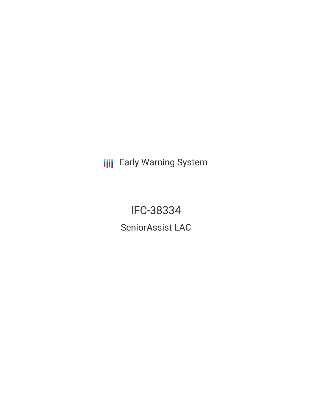**III** Early Warning System

IFC-38334 SeniorAssist LAC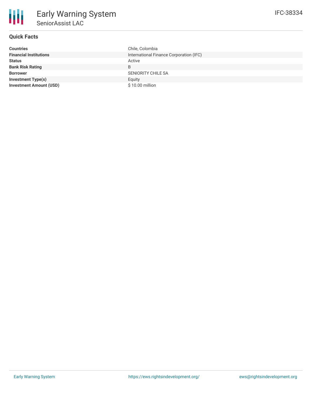## **Quick Facts**

| <b>Countries</b>               | Chile, Colombia                         |
|--------------------------------|-----------------------------------------|
| <b>Financial Institutions</b>  | International Finance Corporation (IFC) |
| <b>Status</b>                  | Active                                  |
| <b>Bank Risk Rating</b>        | B                                       |
| <b>Borrower</b>                | <b>SENIORITY CHILE SA</b>               |
| <b>Investment Type(s)</b>      | Equity                                  |
| <b>Investment Amount (USD)</b> | $$10.00$ million                        |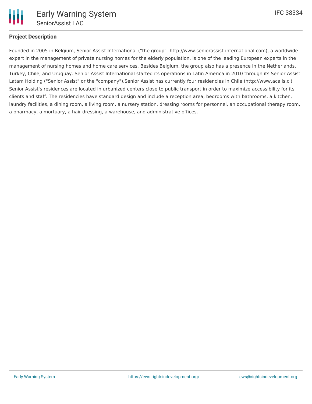

# **Project Description**

Founded in 2005 in Belgium, Senior Assist International ("the group" -http://www.seniorassist-international.com), a worldwide expert in the management of private nursing homes for the elderly population, is one of the leading European experts in the management of nursing homes and home care services. Besides Belgium, the group also has a presence in the Netherlands, Turkey, Chile, and Uruguay. Senior Assist International started its operations in Latin America in 2010 through its Senior Assist Latam Holding ("Senior Assist" or the "company").Senior Assist has currently four residencies in Chile (http://www.acalis.cl) Senior Assist's residences are located in urbanized centers close to public transport in order to maximize accessibility for its clients and staff. The residencies have standard design and include a reception area, bedrooms with bathrooms, a kitchen, laundry facilities, a dining room, a living room, a nursery station, dressing rooms for personnel, an occupational therapy room, a pharmacy, a mortuary, a hair dressing, a warehouse, and administrative offices.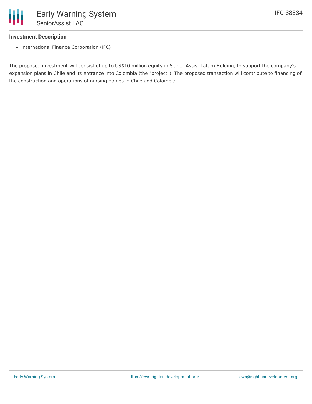#### **Investment Description**

• International Finance Corporation (IFC)

The proposed investment will consist of up to US\$10 million equity in Senior Assist Latam Holding, to support the company's expansion plans in Chile and its entrance into Colombia (the "project"). The proposed transaction will contribute to financing of the construction and operations of nursing homes in Chile and Colombia.